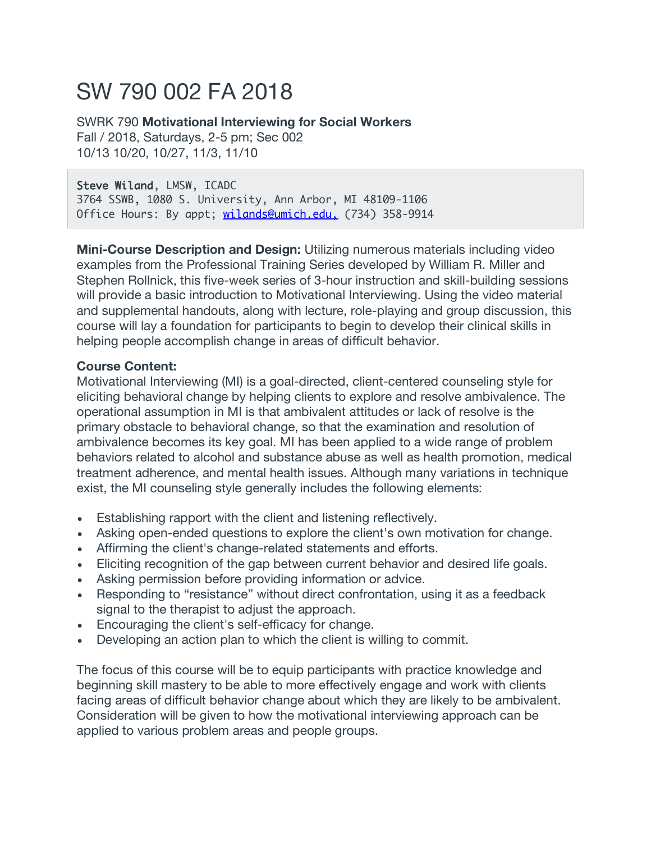# SW 790 002 FA 2018

SWRK 790 **Motivational Interviewing for Social Workers** Fall / 2018, Saturdays, 2-5 pm; Sec 002 10/13 10/20, 10/27, 11/3, 11/10

#### Steve Wiland, LMSW, ICADC

3764 SSWB, 1080 S. University, Ann Arbor, MI 48109-1106 Office Hours: By appt; wilands@umich.edu. (734) 358-9914

**Mini-Course Description and Design:** Utilizing numerous materials including video examples from the Professional Training Series developed by William R. Miller and Stephen Rollnick, this five-week series of 3-hour instruction and skill-building sessions will provide a basic introduction to Motivational Interviewing. Using the video material and supplemental handouts, along with lecture, role-playing and group discussion, this course will lay a foundation for participants to begin to develop their clinical skills in helping people accomplish change in areas of difficult behavior.

#### **Course Content:**

Motivational Interviewing (MI) is a goal-directed, client-centered counseling style for eliciting behavioral change by helping clients to explore and resolve ambivalence. The operational assumption in MI is that ambivalent attitudes or lack of resolve is the primary obstacle to behavioral change, so that the examination and resolution of ambivalence becomes its key goal. MI has been applied to a wide range of problem behaviors related to alcohol and substance abuse as well as health promotion, medical treatment adherence, and mental health issues. Although many variations in technique exist, the MI counseling style generally includes the following elements:

- Establishing rapport with the client and listening reflectively.
- Asking open-ended questions to explore the client's own motivation for change.
- Affirming the client's change-related statements and efforts.
- Eliciting recognition of the gap between current behavior and desired life goals.
- Asking permission before providing information or advice.
- Responding to "resistance" without direct confrontation, using it as a feedback signal to the therapist to adjust the approach.
- Encouraging the client's self-efficacy for change.
- Developing an action plan to which the client is willing to commit.

The focus of this course will be to equip participants with practice knowledge and beginning skill mastery to be able to more effectively engage and work with clients facing areas of difficult behavior change about which they are likely to be ambivalent. Consideration will be given to how the motivational interviewing approach can be applied to various problem areas and people groups.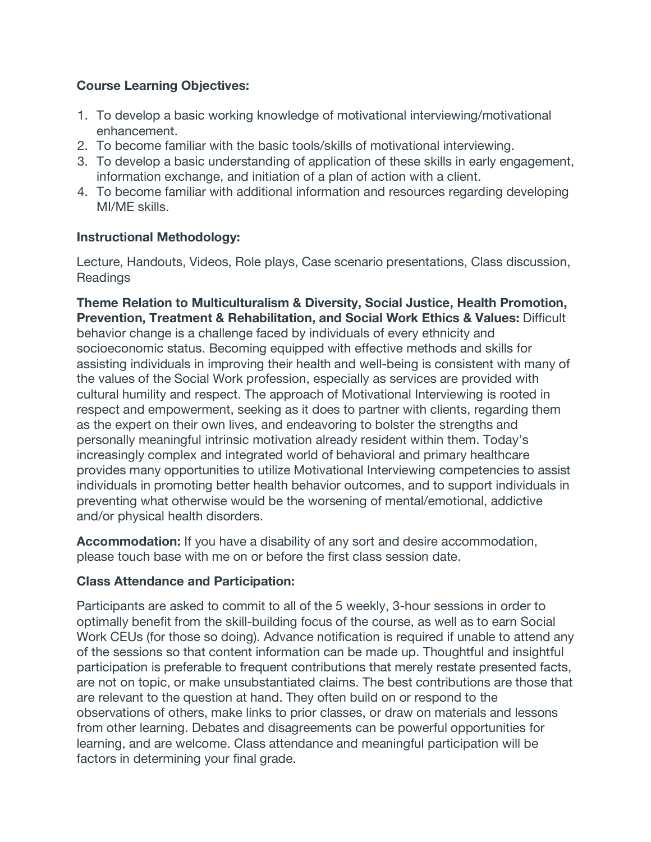### **Course Learning Objectives:**

- 1. To develop a basic working knowledge of motivational interviewing/motivational enhancement.
- 2. To become familiar with the basic tools/skills of motivational interviewing.
- 3. To develop a basic understanding of application of these skills in early engagement, information exchange, and initiation of a plan of action with a client.
- 4. To become familiar with additional information and resources regarding developing MI/ME skills.

### **Instructional Methodology:**

Lecture, Handouts, Videos, Role plays, Case scenario presentations, Class discussion, **Readings** 

**Theme Relation to Multiculturalism & Diversity, Social Justice, Health Promotion, Prevention, Treatment & Rehabilitation, and Social Work Ethics & Values:** Difficult behavior change is a challenge faced by individuals of every ethnicity and socioeconomic status. Becoming equipped with effective methods and skills for assisting individuals in improving their health and well-being is consistent with many of the values of the Social Work profession, especially as services are provided with cultural humility and respect. The approach of Motivational Interviewing is rooted in respect and empowerment, seeking as it does to partner with clients, regarding them as the expert on their own lives, and endeavoring to bolster the strengths and personally meaningful intrinsic motivation already resident within them. Today's increasingly complex and integrated world of behavioral and primary healthcare provides many opportunities to utilize Motivational Interviewing competencies to assist individuals in promoting better health behavior outcomes, and to support individuals in preventing what otherwise would be the worsening of mental/emotional, addictive and/or physical health disorders.

**Accommodation:** If you have a disability of any sort and desire accommodation, please touch base with me on or before the first class session date.

### **Class Attendance and Participation:**

Participants are asked to commit to all of the 5 weekly, 3-hour sessions in order to optimally benefit from the skill-building focus of the course, as well as to earn Social Work CEUs (for those so doing). Advance notification is required if unable to attend any of the sessions so that content information can be made up. Thoughtful and insightful participation is preferable to frequent contributions that merely restate presented facts, are not on topic, or make unsubstantiated claims. The best contributions are those that are relevant to the question at hand. They often build on or respond to the observations of others, make links to prior classes, or draw on materials and lessons from other learning. Debates and disagreements can be powerful opportunities for learning, and are welcome. Class attendance and meaningful participation will be factors in determining your final grade.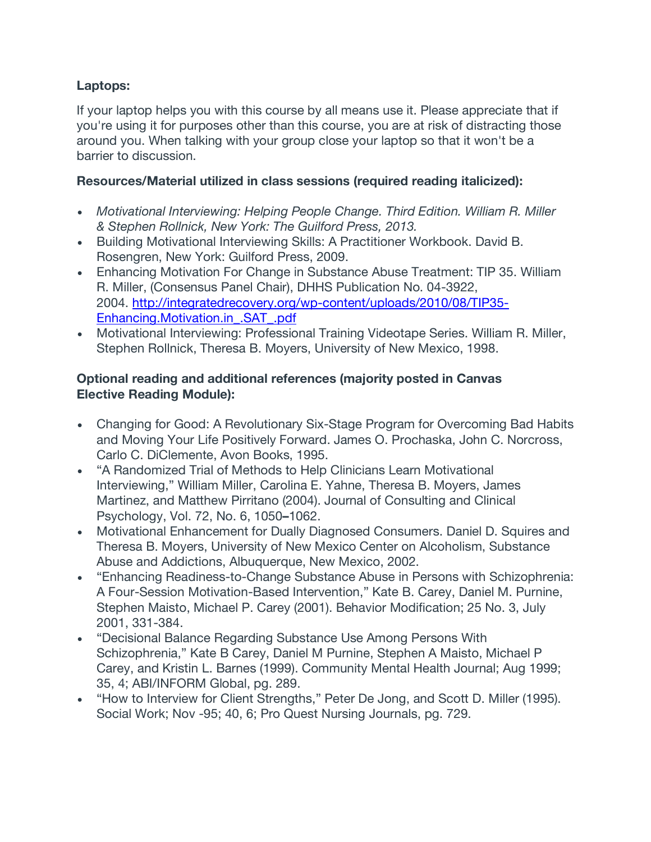## **Laptops:**

If your laptop helps you with this course by all means use it. Please appreciate that if you're using it for purposes other than this course, you are at risk of distracting those around you. When talking with your group close your laptop so that it won't be a barrier to discussion.

### **Resources/Material utilized in class sessions (required reading italicized):**

- *Motivational Interviewing: Helping People Change. Third Edition. William R. Miller & Stephen Rollnick, New York: The Guilford Press, 2013.*
- Building Motivational Interviewing Skills: A Practitioner Workbook. David B. Rosengren, New York: Guilford Press, 2009.
- Enhancing Motivation For Change in Substance Abuse Treatment: TIP 35. William R. Miller, (Consensus Panel Chair), DHHS Publication No. 04-3922, 2004. http://integratedrecovery.org/wp-content/uploads/2010/08/TIP35- Enhancing.Motivation.in\_.SAT\_.pdf
- Motivational Interviewing: Professional Training Videotape Series. William R. Miller, Stephen Rollnick, Theresa B. Moyers, University of New Mexico, 1998.

### **Optional reading and additional references (majority posted in Canvas Elective Reading Module):**

- Changing for Good: A Revolutionary Six-Stage Program for Overcoming Bad Habits and Moving Your Life Positively Forward. James O. Prochaska, John C. Norcross, Carlo C. DiClemente, Avon Books, 1995.
- "A Randomized Trial of Methods to Help Clinicians Learn Motivational Interviewing," William Miller, Carolina E. Yahne, Theresa B. Moyers, James Martinez, and Matthew Pirritano (2004). Journal of Consulting and Clinical Psychology, Vol. 72, No. 6, 1050**–**1062.
- Motivational Enhancement for Dually Diagnosed Consumers. Daniel D. Squires and Theresa B. Moyers, University of New Mexico Center on Alcoholism, Substance Abuse and Addictions, Albuquerque, New Mexico, 2002.
- "Enhancing Readiness-to-Change Substance Abuse in Persons with Schizophrenia: A Four-Session Motivation-Based Intervention," Kate B. Carey, Daniel M. Purnine, Stephen Maisto, Michael P. Carey (2001). Behavior Modification; 25 No. 3, July 2001, 331-384.
- "Decisional Balance Regarding Substance Use Among Persons With Schizophrenia," Kate B Carey, Daniel M Purnine, Stephen A Maisto, Michael P Carey, and Kristin L. Barnes (1999). Community Mental Health Journal; Aug 1999; 35, 4; ABI/INFORM Global, pg. 289.
- "How to Interview for Client Strengths," Peter De Jong, and Scott D. Miller (1995). Social Work; Nov -95; 40, 6; Pro Quest Nursing Journals, pg. 729.